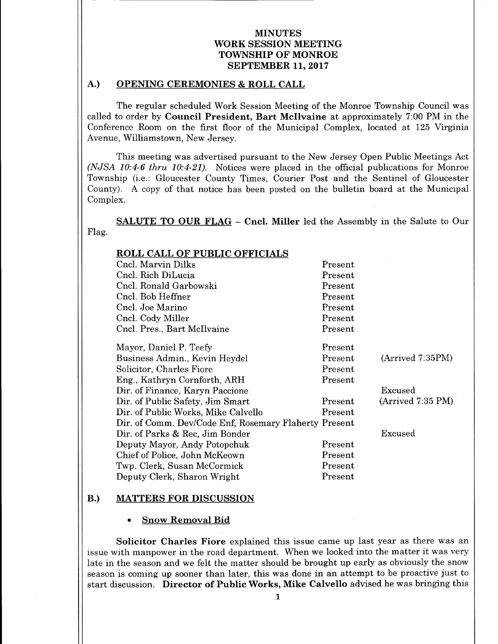#### A.) OPENING CEREMONIES & ROLL CALL

The regular scheduled Work Session Meeting of the Monroe Township Council was called to order by Council President, Bart McIlvaine at approximately 7:00 PM in the Conference Room on the first floor of the Municipal Complex, located at 125 Virginia Avenue, Williamstown, New Jersey.

This meeting was advertised pursuant to the New Jersey Open Public Meetings Act  $(NJSA 10:4-6$  thru  $10:4-21$ ). Notices were placed in the official publications for Monroe Township (i.e.: Gloucester County Times, Courier Post and the Sentinel of Gloucester County). A copy of that notice has been posted on the bulletin board at the Municipal Complex.

SALUTE TO OUR FLAG — Cncl. Miller led the Assembly in the Salute to Our Flag.

| <b>ROLL CALL OF PUBLIC OFFICIALS</b>                  |               |                  |
|-------------------------------------------------------|---------------|------------------|
| Cncl. Marvin Dilks                                    | Present       |                  |
| Cncl. Rich DiLucia                                    | Present       |                  |
| Cncl. Ronald Garbowski                                | Present       |                  |
| Cncl. Bob Heffner                                     | Present       |                  |
| Cncl. Joe Marino                                      | Present       |                  |
| Cncl. Cody Miller                                     | Present       |                  |
| Cncl. Pres., Bart McIlvaine                           | Present       |                  |
| Mayor, Daniel P. Teefy                                | Present       |                  |
| Business Admin., Kevin Heydel                         | Present       | (Arrived 7:35PM) |
| Solicitor, Charles Fiore                              | Present       |                  |
| Eng., Kathryn Cornforth, ARH                          | Present       |                  |
| Dir. of Finance, Karyn Paccione                       |               | Excused          |
| Dir. of Public Safety, Jim Smart                      | Present       | (Arived 7:35 PM) |
| Dir. of Public Works, Mike Calvello                   | Present       |                  |
| Dir. of Comm. Dev/Code Enf, Rosemary Flaherty Present |               |                  |
| Dir. of Parks & Rec. Jim Bonder                       |               | Excused          |
| Deputy Mayor, Andy Potopchuk                          | Present       |                  |
| Chief of Police, John McKeown                         | Present       |                  |
| Twp. Clerk, Susan McCormick                           | Present       |                  |
| Deputy Clerk, Sharon Wright                           | $\rm Present$ |                  |

#### B.) MATTERS FOR DISCUSSION

#### Snow Removal Bid

Solicitor Charles Fiore explained this issue came up last year as there was an issue with manpower in the road department. When we looked into the matter it was very late in the season andwe felt the matter should be brought up early as obviously the snow season is coming up sooner than later, this was done in an attempt to be proactive just to start discussion. Director of Public Works, Mike Calvello advised he was bringing this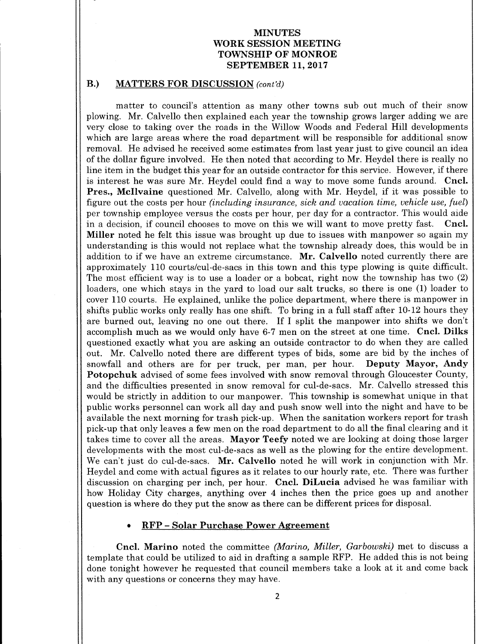#### B.) MATTERS FOR DISCUSSION (cont'd)

matter to council's attention as many other towns sub out much of their snow plowing. Mr. Calvello then explained each year the township grows larger adding we are very close to taking over the roads in the Willow Woods and Federal Hill developments which are large areas where the road department will be responsible for additional snow removal. He advised he received some estimates from last year just to give council an idea of the dollar figure involved. He then noted that according to Mr. Heydel there is really no line item in the budget this year for an outside contractor for this service. However, if there is interest he was sure Mr. Heydel could find <sup>a</sup> way to move some funds around. Cncl. Pres., Mcllvaine questioned Mr. Calvello, along with Mr. Heydel, if it was possible to figure out the costs per hour (including insurance, sick and vacation time, vehicle use, fuel) per township employee versus the costs per hour, per day for a contractor. This would aide in <sup>a</sup> decision, if council chooses to move on this we will want to move pretty fast. Cncl. Miller noted he felt this issue was brought up due to issues with manpower so again my understanding is this would not replace what the township already does, this would be in addition to if we have an extreme circumstance. Mr. Calvello noted currently there are approximately 110 courts/cul-de- sacs in this town and this type plowing is quite difficult. The most efficient way is to use a loader or a bobcat, right now the township has two (2) loaders, one which stays in the yard to load our salt trucks, so there is one (1) loader to cover 110 courts. He explained, unlike the police department, where there is manpower in shifts public works only really has one shift. To bring in a full staff after 10-12 hours they are burned out, leaving no one out there. If I split the manpower into shifts we don't accomplish much as we would only have 6-7 men on the street at one time. Cncl. Dilks questioned exactly what you are asking an outside contractor to do when they are called out. Mr. Calvello noted there are different types of bids, some are bid by the inches of snowfall and others are for per truck, per man, per hour. **Deputy Mayor, Andy** snowfall and others are for per truck, per man, per hour. Potopchuk advised of some fees involved with snow removal through Gloucester County, and the difficulties presented in snow removal for cul-de- sacs. Mr. Calvello stressed this would be strictly in addition to our manpower. This township is somewhat unique in that public works personnel can work all day and push snow well into the night and have to be available the next morning for trash pick-up. When the sanitation workers report for trash pick-up that only leaves <sup>a</sup> few men on the road department to do all the final clearing and it takes time to cover all the areas. Mayor Teefy noted we are looking at doing those larger developments with the most cul-de- sacs as well as the plowing for the entire development. We can't just do cul-de-sacs. Mr. Calvello noted he will work in conjunction with Mr. Heydel and come with actual figures as it relates to our hourly rate, etc. There was further discussion on charging per inch, per hour. Cncl. DiLucia advised he was familiar with how Holiday City charges, anything over 4 inches then the price goes up and another question is where do they put the snow as there can be different prices for disposal.

# RFP— Solar Purchase Power Agreement

Cncl. Marino noted the committee (Marino, Miller, Garbowski) met to discuss a template that could be utilized to aid in drafting <sup>a</sup> sample RFP. He added this is not being done tonight however he requested that council members take <sup>a</sup> look at it and come back with any questions or concerns they may have.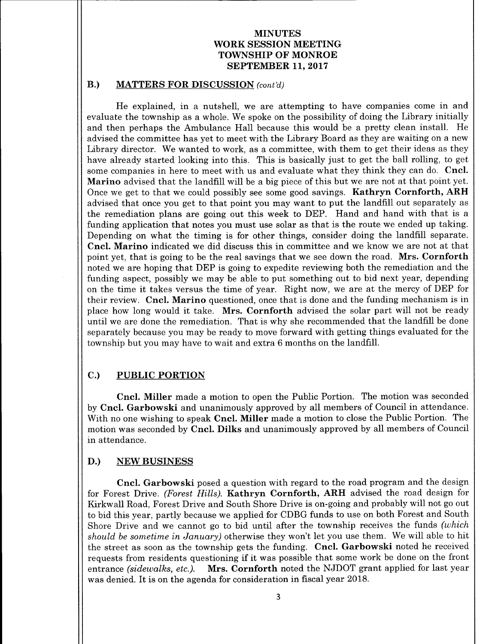### B.) MATTERS FOR DISCUSSION (cont'd)

He explained, in <sup>a</sup> nutshell, we are attempting to have companies come in and evaluate the township as a whole. We spoke on the possibility of doing the Library initially and then perhaps the Ambulance Hall because this would be <sup>a</sup> pretty clean install. He advised the committee has yet to meet with the Library Board as they are waiting on a new Library director. We wanted to work, as <sup>a</sup> committee, with them to get their ideas as they have already started looking into this. This is basically just to get the ball rolling, to get some companies in here to meet with us and evaluate what they think they can do. Cncl. Marino advised that the landfill will be a big piece of this but we are not at that point yet. Once we get to that we could possibly see some good savings. Kathryn Cornforth, ARH advised that once you get to that point you may want to put the landfill out separately as the remediation plans are going out this week to DEP. Hand and hand with that is <sup>a</sup> funding application that notes you must use solar as that is the route we ended up taking. Depending on what the timing is for other things, consider doing the landfill separate. Cncl. Marino indicated we did discuss this in committee and we know we are not at that point yet, that is going to be the real savings that we see down the road. Mrs. Cornforth noted we are hoping that DEP is going to expedite reviewing both the remediation and the funding aspect, possibly we may be able to put something out to bid next year, depending on the time it takes versus the time of year. Right now, we are at the mercy of DEP for their review. Cncl. Marino questioned, once that is done and the funding mechanism is in place how long would it take. Mrs. Cornforth advised the solar part will not be ready until we are done the remediation. That is why she recommended that the landfill be done separately because you may be ready to move forward with getting things evaluated for the township but you may have to wait and extra <sup>6</sup> months on the landfill.

# C.) PUBLIC PORTION

Cncl. Miller made <sup>a</sup> motion to open the Public Portion. The motion was seconded by Cncl. Garbowski and unanimously approved by all members of Council in attendance. With no one wishing to speak Cncl. Miller made a motion to close the Public Portion. The motion was seconded by Cncl. Dilks and unanimously approved by all members of Council in attendance.

#### D.) NEW BUSINESS

Cncl. Garbowski posed <sup>a</sup> question with regard to the road program and the design for Forest Drive. (Forest Hills). Kathryn Cornforth, ARH advised the road design for Kirkwall Road, Forest Drive and South Shore Drive is on-going and probably will not go out to bid this year, partly because we applied for CDBG funds to use on both Forest and South Shore Drive and we cannot go to bid until after the township receives the funds (which should be sometime in January) otherwise they won't let you use them. We will able to hit the street as soon as the township gets the funding. Cncl. Garbowski noted he received requests from residents questioning if it was possible that some work be done on the front entrance *(sidewalks, etc.).* Mrs. Cornforth noted the NJDOT grant applied for last year was denied. It is on the agenda for consideration in fiscal year 2018.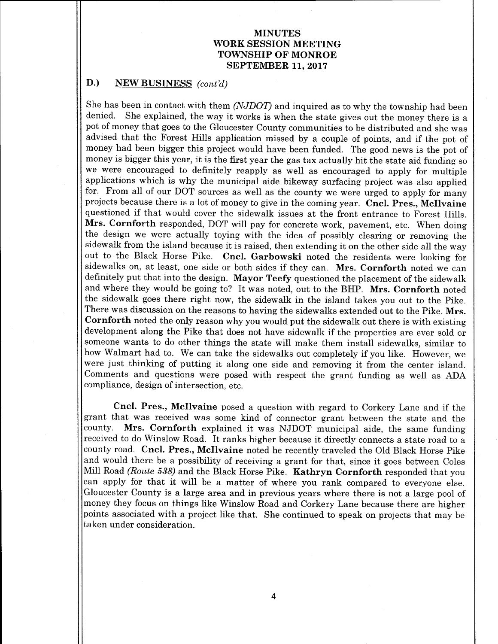### D.) NEW BUSINESS (cont'd)

She has been in contact with them (NJDOT) and inquired as to why the township had been denied. She explained, the way it works is when the state gives out the money there is <sup>a</sup> pot of money that goes to the Gloucester County communities to be distributed and she was advised that the Forest Hills application missed by <sup>a</sup> couple of points, and if the pot of money had been bigger this project would have been funded. The good news is the pot of money is bigger this year, it is the first year the gas tax actually hit the state aid funding so we were encouraged to definitely reapply as well as encouraged to apply for multiple applications which is why the municipal aide bikeway surfacing project was also applied for. From all of our DOT sources as well as the county we were urged to apply for many projects because there is <sup>a</sup> lot of money to give in the coming year. Cncl. Pres., Mcllvaine questioned if that would cover the sidewalk issues at the front entrance to Forest Hills. Mrs. Cornforth responded, DOT will pay for concrete work, pavement, etc. When doing the design we were actually toying with the idea of possibly clearing or removing the sidewalk from the island because it is raised, then extending it on the other side all the way<br>out to the Black Horse Pike. Cncl. Garbowski noted the residents were looking for Cncl. Garbowski noted the residents were looking for sidewalks on, at least, one side or both sides if they can. Mrs. Cornforth noted we can definitely put that into the design. Mayor Teefy questioned the placement of the sidewalk and where they would be going to? It was noted, out to the BHP. Mrs. Cornforth noted the sidewalk goes there right now, the sidewalk in the island takes you out to the Pike. There was discussion on the reasons to having the sidewalks extended out to the Pike. Mrs. Cornforth noted the only reason why you would put the sidewalk out there is with existing development along the Pike that does not have sidewalk if the properties are ever sold or someone wants to do other things the state will make them install sidewalks, similar to how Walmart had to. We can take the sidewalks out completely if you like. However, we were just thinking of putting it along one side and removing it from the center island. Comments and questions were posed with respect the grant funding as well as ADA compliance, design of intersection, etc.

Cncl. Pres., Mcllvaine posed <sup>a</sup> question with regard to Corkery Lane and if the grant that was received was some kind of connector grant between the state and the county. Mrs. Cornforth explained it was NJDOT municipal aide, the same funding received to do Winslow Road. It ranks higher because it directly connects <sup>a</sup> state road to <sup>a</sup> county road. Cncl. Pres., McIlvaine noted he recently traveled the Old Black Horse Pike and would there be <sup>a</sup> possibility of receiving <sup>a</sup> grant for that, since it goes between Coles Mill Road (Route 538) and the Black Horse Pike. Kathryn Cornforth responded that you can apply for that it will be <sup>a</sup> matter of where you rank compared to everyone else. Gloucester County is a large area and in previous years where there is not a large pool of money they focus on things like Winslow Road and Corkery Lane because there are higher points associated with <sup>a</sup> project like that. She continued to speak on projects that may be taken under consideration.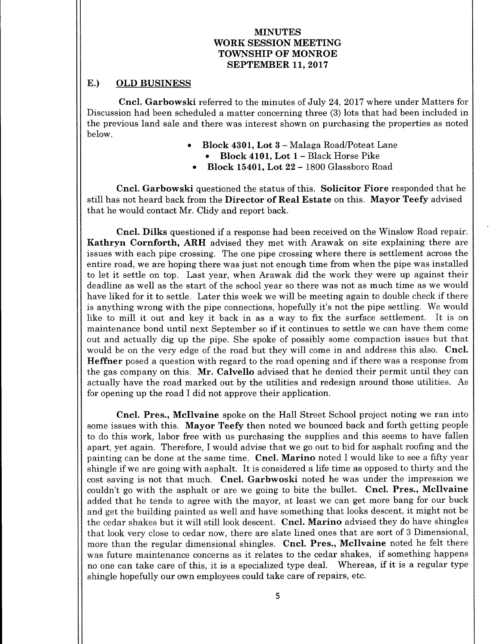# E.) OLD BUSINESS

Cncl. Garbowski referred to the minutes of July 24, 2017 where under Matters for Discussion had been scheduled a matter concerning three (3) lots that had been included in the previous land sale and there was interest shown on purchasing the properties as noted below.

- Block 4301, Lot 3 Malaga Road/Poteat Lane
	- Block 4101, Lot 1 Black Horse Pike  $\bullet$
- Block 15401, Lot 22 1800 Glassboro Road

Cncl. Garbowski questioned the status of this. Solicitor Fiore responded that he still has not heard back from the Director of Real Estate on this. Mayor Teefy advised that he would contact Mr. Clidy and report back.

Cncl. Dilks questioned if <sup>a</sup> response had been received on the Winslow Road repair. Kathryn Cornforth, ARH advised they met with Arawak on site explaining there are issues with each pipe crossing. The one pipe crossing where there is settlement across the entire road, we are hoping there was just not enough time from when the pipe was installed to let it settle on top. Last year, when Arawak did the work they were up against their deadline as well as the start of the school year so there was not as much time as we would have liked for it to settle. Later this week we will be meeting again to double check if there is anything wrong with the pipe connections, hopefully it'<sup>s</sup> not the pipe settling. We would like to mill it out and key it back in as <sup>a</sup> way to fix the surface settlement. It is on maintenance bond until next September so if it continues to settle we can have them come out and actually dig up the pipe. She spoke of possibly some compaction issues but that would be on the very edge of the road but they will come in and address this also. Cncl. Heffner posed <sup>a</sup> question with regard to the road opening and if there was <sup>a</sup> response from the gas company on this. Mr. Calvello advised that he denied their permit until they can actually have the road marked out by the utilities and redesign around those utilities. As for opening up the road I did not approve their application.

Cncl. Pres., Mcllvaine spoke on the Hall Street School project noting we ran into some issues with this. Mayor Teefy then noted we bounced back and forth getting people to do this work, labor free with us purchasing the supplies and this seems to have fallen apart, yet again. Therefore, I would advise that we go out to bid for asphalt roofing and the painting can be done at the same time. Cncl. Marino noted I would like to see a fifty year shingle if we are going with asphalt. It is considered <sup>a</sup> life time as opposed to thirty and the cost saving is not that much. Cncl. Garbwoski noted he was under the impression we couldn't go with the asphalt or are we going to bite the bullet. Cncl. Pres., McIlvaine added that he tends to agree with the mayor, at least we can get more bang for our buck and get the building painted as well and have something that looks descent, it might not be the cedar shakes but it will still look descent. Cncl. Marino advised they do have shingles that look very close to cedar now, there are slate lined ones that are sort of <sup>3</sup> Dimensional, more than the regular dimensional shingles. Cncl. Pres., McIlvaine noted he felt there was future maintenance concerns as it relates to the cedar shakes, if something happens no one can take care of this, it is <sup>a</sup> specialized type deal. Whereas, if it is <sup>a</sup> regular type shingle hopefully our own employees could take care of repairs, etc.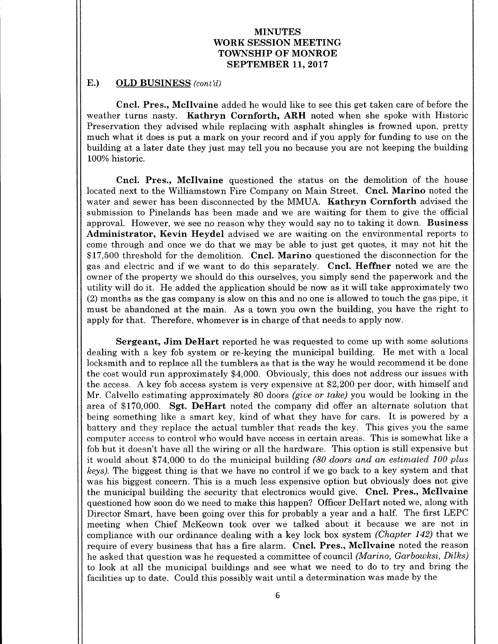### E.) OLD BUSINESS (cont'd)

Cncl. Pres., Mcllvaine added he would like to see this get taken care of before the weather turns nasty. Kathryn Cornforth, ARH noted when she spoke with Historic Preservation they advised while replacing with asphalt shingles is frowned upon, pretty much what it does is put <sup>a</sup> mark on your record and if you apply for funding to use on the building at a later date they just may tell you no because you are not keeping the building 100% historic.

Cncl. Pres., Mcllvaine questioned the status on the demolition of the house located next to the Williamstown Fire Company on Main Street. **Cncl. Marino** noted the water and sewer has been disconnected by the MMUA. Kathryn Cornforth advised the submission to Pinelands has been made and we are waiting for them to give the official approval. However, we see no reason why they would say no to taking it down. Business Administrator, Kevin Heydel advised we are waiting on the environmental reports to come through and once we do that we may be able to just get quotes, it may not hit the \$17,500 threshold for the demolition. Cncl. Marino questioned the disconnection for the gas and electric and if we want to do this separately. Cncl. Heffner noted we are the owner of the property we should do this ourselves, you simply send the paperwork and the utility will do it. He added the application should be now as it will take approximately two 2) months as the gas company is slow on this and no one is allowed to touch the gas pipe, it must be abandoned at the main. As <sup>a</sup> town you own the building, you have the right to apply for that. Therefore, whomever is in charge of that needs to apply now.

Sergeant, Jim DeHart reported he was requested to come up with some solutions dealing with <sup>a</sup> key fob system or re-keying the municipal building. He met with <sup>a</sup> local locksmith and to replace all the tumblers as that is the way he would recommend it be done the cost would run approximately \$4, 000. Obviously, this does not address our issues with the access. A key fob access system is very expensive at \$2,200 per door, with himself and Mr. Calvello estimating approximately 80 doors (give or take) you would be looking in the area of \$170,000. Sgt. DeHart noted the company did offer an alternate solution that being something like <sup>a</sup> smart key, kind of what they have for cars. It is powered by <sup>a</sup> battery and they replace the actual tumbler that reads the key. This gives you the same computer access to control who would have access in certain areas. This is somewhat like a fob but it doesn't have all the wiring or all the hardware. This option is still expensive but it would about \$74,000 to do the municipal building  $(80 \text{ doors and an estimated } 100 \text{ plus }$ keys). The biggest thing is that we have no control if we go back to <sup>a</sup> key system and that was his biggest concern. This is a much less expensive option but obviously does not give the municipal building the security that electronics would give. Cncl. Pres., McIlvaine questioned how soon do we need to make this happen? Officer DeHart noted we, along with Director Smart, have been going over this for probably <sup>a</sup> year and <sup>a</sup> half. The first LEPC meeting when Chief McKeown took over we talked about it because we are not in compliance with our ordinance dealing with a key lock box system (Chapter 142) that we require of every business that has a fire alarm. Cncl. Pres., McIlvaine noted the reason he asked that question was he requested a committee of council (Marino, Garbowksi, Dilks) to look at all the municipal buildings and see what we need to do to try and bring the facilities up to date. Could this possibly wait until <sup>a</sup> determination was made by the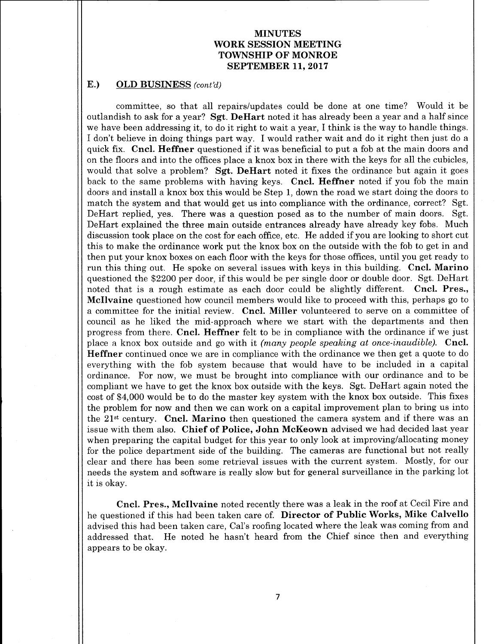### E.) OLD BUSINESS (cont'd)

committee, so that all repairs/updates could be done at one time? Would it be outlandish to ask for a year? Sgt. DeHart noted it has already been a year and a half since we have been addressing it, to do it right to wait <sup>a</sup> year, I think is the way to handle things. I don't believe in doing things part way. I would rather wait and do it right then just do <sup>a</sup> quick fix. Cncl. Heffner questioned if it was beneficial to put a fob at the main doors and on the floors and into the offices place a knox box in there with the keys for all the cubicles, would that solve a problem? **Sgt. DeHart** noted it fixes the ordinance but again it goes back to the same problems with having keys. Cncl. Heffner noted if you fob the main doors and install a knox box this would be Step 1, down the road we start doing the doors to match the system and that would get us into compliance with the ordinance, correct? Sgt. DeHart replied, yes. There was a question posed as to the number of main doors. Sgt. DeHart explained the three main outside entrances already have already key fobs. Much discussion took place on the cost for each office, etc. He added if you are looking to short cut this to make the ordinance work put the knox box on the outside with the fob to get in and then put your knox boxes on each floor with the keys for those offices, until you get ready to run this thing out. He spoke on several issues with keys in this building. Cncl. Marino questioned the \$2200 per door, if this would be per single door or double door. Sgt. DeHart noted that is <sup>a</sup> rough estimate as each door could be slightly different. Cncl. Pres., Mcllvaine questioned how council members would like to proceed with this, perhaps go to <sup>a</sup> committee for the initial review. Cncl. Miller volunteered to serve on <sup>a</sup> committee of council as he liked the mid-approach where we start with the departments and then progress from there. Cncl. Heffner felt to be in compliance with the ordinance if we just place a knox box outside and go with it (many people speaking at once-inaudible). Cncl. Heffner continued once we are in compliance with the ordinance we then get <sup>a</sup> quote to do everything with the fob system because that would have to be included in a capital ordinance. For now, we must be brought into compliance with our ordinance and to be compliant we have to get the knox box outside with the keys. Sgt. DeHart again noted the cost of\$ 4,000 would be to do the master key system with the knox box outside. This fixes the problem for now and then we can work on a capital improvement plan to bring us into the 21<sup>st</sup> century. Cncl. Marino then questioned the camera system and if there was an issue with them also. Chief of Police, John McKeown advised we had decided last year when preparing the capital budget for this year to only look at improving/allocating money for the police department side of the building. The cameras are functional but not really clear and there has been some retrieval issues with the current system. Mostly, for our needs the system and software is really slow but for general surveillance in the parking lot it is okay.

Cncl. Pres., Mcllvaine noted recently there was <sup>a</sup> leak in the roof at Cecil Fire and he questioned if this had been taken care of. Director of Public Works, Mike Calvello advised this had been taken care, Cal's roofing located where the leak was coming from and addressed that. He noted he hasn't heard from the Chief since then and everything appears to be okay.